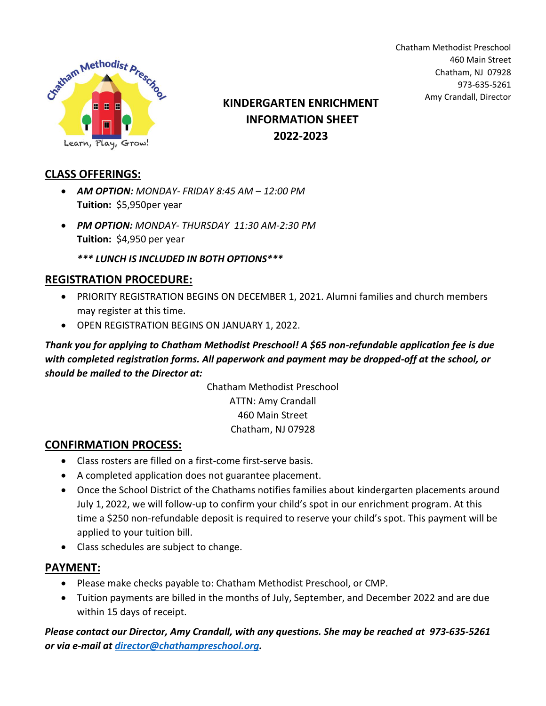

460 Main Street Chatham, NJ 07928 973-635-5261 Amy Crandall, Director **KINDERGARTEN ENRICHMENT**

Chatham Methodist Preschool

# **INFORMATION SHEET 2022-2023**

**CLASS OFFERINGS:**

- *AM OPTION: MONDAY- FRIDAY 8:45 AM – 12:00 PM* **Tuition:** \$5,950per year
- *PM OPTION: MONDAY- THURSDAY 11:30 AM-2:30 PM* **Tuition:** \$4,950 per year

*\*\*\* LUNCH IS INCLUDED IN BOTH OPTIONS\*\*\**

### **REGISTRATION PROCEDURE:**

- PRIORITY REGISTRATION BEGINS ON DECEMBER 1, 2021. Alumni families and church members may register at this time.
- OPEN REGISTRATION BEGINS ON JANUARY 1, 2022.

*Thank you for applying to Chatham Methodist Preschool! A \$65 non-refundable application fee is due with completed registration forms. All paperwork and payment may be dropped-off at the school, or should be mailed to the Director at:*

> Chatham Methodist Preschool ATTN: Amy Crandall 460 Main Street Chatham, NJ 07928

### **CONFIRMATION PROCESS:**

- Class rosters are filled on a first-come first-serve basis.
- A completed application does not guarantee placement.
- Once the School District of the Chathams notifies families about kindergarten placements around July 1, 2022, we will follow-up to confirm your child's spot in our enrichment program. At this time a \$250 non-refundable deposit is required to reserve your child's spot. This payment will be applied to your tuition bill.
- Class schedules are subject to change.

#### **PAYMENT:**

- Please make checks payable to: Chatham Methodist Preschool, or CMP.
- Tuition payments are billed in the months of July, September, and December 2022 and are due within 15 days of receipt.

*Please contact our Director, Amy Crandall, with any questions. She may be reached at 973-635-5261 or via e-mail at [director@chathampreschool.org.](mailto:director@chathampreschool.org)*